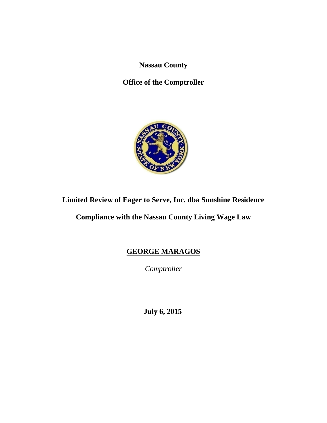**Nassau County** 

**Office of the Comptroller** 



# **Limited Review of Eager to Serve, Inc. dba Sunshine Residence**

**Compliance with the Nassau County Living Wage Law** 

# **GEORGE MARAGOS**

*Comptroller* 

 **July 6, 2015**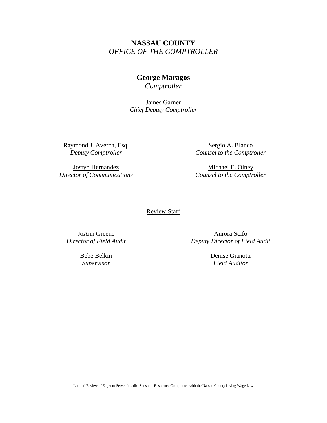# **NASSAU COUNTY**  *OFFICE OF THE COMPTROLLER*

# **George Maragos**

*Comptroller* 

James Garner *Chief Deputy Comptroller* 

Raymond J. Averna, Esq. *Deputy Comptroller* 

Jostyn Hernandez *Director of Communications* 

Sergio A. Blanco *Counsel to the Comptroller* 

Michael E. Olney *Counsel to the Comptroller* 

#### Review Staff

JoAnn Greene *Director of Field Audit* 

> Bebe Belkin *Supervisor*

Aurora Scifo *Deputy Director of Field Audit* 

> Denise Gianotti *Field Auditor*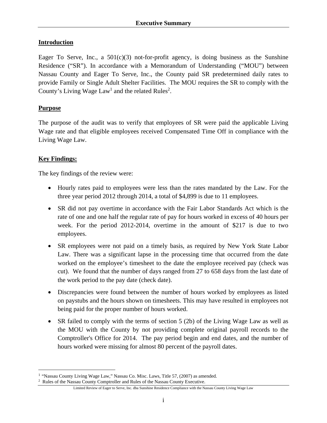#### **Introduction**

Eager To Serve, Inc., a  $501(c)(3)$  not-for-profit agency, is doing business as the Sunshine Residence ("SR"). In accordance with a Memorandum of Understanding ("MOU") between Nassau County and Eager To Serve, Inc., the County paid SR predetermined daily rates to provide Family or Single Adult Shelter Facilities. The MOU requires the SR to comply with the County's Living Wage  $Law<sup>1</sup>$  and the related Rules<sup>2</sup>.

#### **Purpose**

The purpose of the audit was to verify that employees of SR were paid the applicable Living Wage rate and that eligible employees received Compensated Time Off in compliance with the Living Wage Law.

#### **Key Findings:**

 $\overline{a}$ 

The key findings of the review were:

- Hourly rates paid to employees were less than the rates mandated by the Law. For the three year period 2012 through 2014, a total of \$4,899 is due to 11 employees.
- SR did not pay overtime in accordance with the Fair Labor Standards Act which is the rate of one and one half the regular rate of pay for hours worked in excess of 40 hours per week. For the period 2012-2014, overtime in the amount of \$217 is due to two employees.
- SR employees were not paid on a timely basis, as required by New York State Labor Law. There was a significant lapse in the processing time that occurred from the date worked on the employee's timesheet to the date the employee received pay (check was cut). We found that the number of days ranged from 27 to 658 days from the last date of the work period to the pay date (check date).
- Discrepancies were found between the number of hours worked by employees as listed on paystubs and the hours shown on timesheets. This may have resulted in employees not being paid for the proper number of hours worked.
- SR failed to comply with the terms of section 5 (2b) of the Living Wage Law as well as the MOU with the County by not providing complete original payroll records to the Comptroller's Office for 2014. The pay period begin and end dates, and the number of hours worked were missing for almost 80 percent of the payroll dates.

<sup>&</sup>lt;sup>1</sup> "Nassau County Living Wage Law," Nassau Co. Misc. Laws, Title 57, (2007) as amended. <sup>2</sup> Rules of the Nassau County Comptroller and Rules of the Nassau County Executive.

Limited Review of Eager to Serve, Inc. dba Sunshine Residence Compliance with the Nassau County Living Wage Law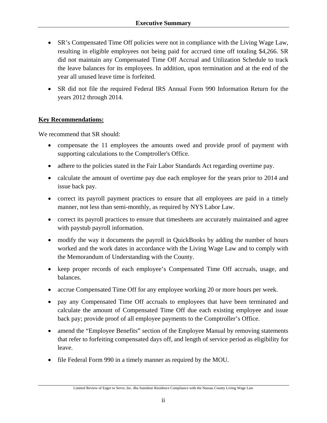- SR's Compensated Time Off policies were not in compliance with the Living Wage Law, resulting in eligible employees not being paid for accrued time off totaling \$4,266. SR did not maintain any Compensated Time Off Accrual and Utilization Schedule to track the leave balances for its employees. In addition, upon termination and at the end of the year all unused leave time is forfeited.
- SR did not file the required Federal IRS Annual Form 990 Information Return for the years 2012 through 2014.

#### **Key Recommendations:**

We recommend that SR should:

- compensate the 11 employees the amounts owed and provide proof of payment with supporting calculations to the Comptroller's Office.
- adhere to the policies stated in the Fair Labor Standards Act regarding overtime pay.
- calculate the amount of overtime pay due each employee for the years prior to 2014 and issue back pay.
- correct its payroll payment practices to ensure that all employees are paid in a timely manner, not less than semi-monthly, as required by NYS Labor Law.
- correct its payroll practices to ensure that timesheets are accurately maintained and agree with paystub payroll information.
- modify the way it documents the payroll in QuickBooks by adding the number of hours worked and the work dates in accordance with the Living Wage Law and to comply with the Memorandum of Understanding with the County.
- keep proper records of each employee's Compensated Time Off accruals, usage, and balances.
- accrue Compensated Time Off for any employee working 20 or more hours per week.
- pay any Compensated Time Off accruals to employees that have been terminated and calculate the amount of Compensated Time Off due each existing employee and issue back pay; provide proof of all employee payments to the Comptroller's Office.
- amend the "Employee Benefits" section of the Employee Manual by removing statements that refer to forfeiting compensated days off, and length of service period as eligibility for leave.
- file Federal Form 990 in a timely manner as required by the MOU.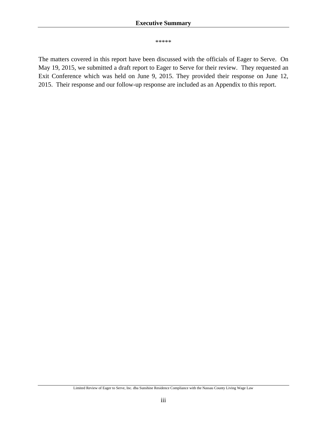\*\*\*\*\*

The matters covered in this report have been discussed with the officials of Eager to Serve. On May 19, 2015, we submitted a draft report to Eager to Serve for their review. They requested an Exit Conference which was held on June 9, 2015. They provided their response on June 12, 2015. Their response and our follow-up response are included as an Appendix to this report.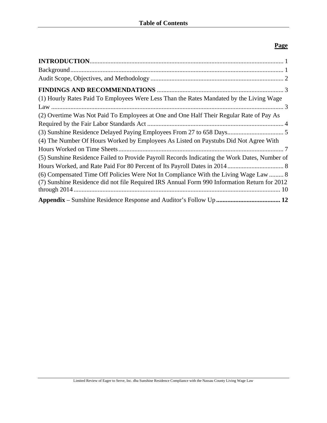# **Page**

| (1) Hourly Rates Paid To Employees Were Less Than the Rates Mandated by the Living Wage                                                                                              |
|--------------------------------------------------------------------------------------------------------------------------------------------------------------------------------------|
|                                                                                                                                                                                      |
| (2) Overtime Was Not Paid To Employees at One and One Half Their Regular Rate of Pay As                                                                                              |
|                                                                                                                                                                                      |
|                                                                                                                                                                                      |
| (4) The Number Of Hours Worked by Employees As Listed on Paystubs Did Not Agree With                                                                                                 |
|                                                                                                                                                                                      |
| (5) Sunshine Residence Failed to Provide Payroll Records Indicating the Work Dates, Number of                                                                                        |
|                                                                                                                                                                                      |
| (6) Compensated Time Off Policies Were Not In Compliance With the Living Wage Law  8<br>(7) Sunshine Residence did not file Required IRS Annual Form 990 Information Return for 2012 |
|                                                                                                                                                                                      |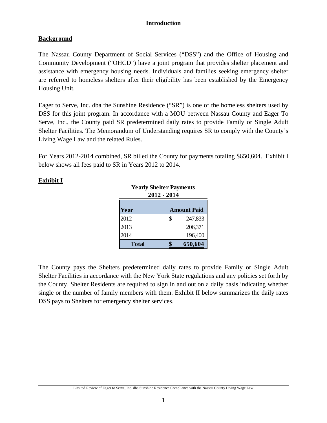# **Background**

The Nassau County Department of Social Services ("DSS") and the Office of Housing and Community Development ("OHCD") have a joint program that provides shelter placement and assistance with emergency housing needs. Individuals and families seeking emergency shelter are referred to homeless shelters after their eligibility has been established by the Emergency Housing Unit.

Eager to Serve, Inc. dba the Sunshine Residence ("SR") is one of the homeless shelters used by DSS for this joint program. In accordance with a MOU between Nassau County and Eager To Serve, Inc., the County paid SR predetermined daily rates to provide Family or Single Adult Shelter Facilities. The Memorandum of Understanding requires SR to comply with the County's Living Wage Law and the related Rules.

For Years 2012-2014 combined, SR billed the County for payments totaling \$650,604. Exhibit I below shows all fees paid to SR in Years 2012 to 2014.

# **Exhibit I**

| <b>Yearly Shelter Payments</b> | 2012 - 2014 |                    |
|--------------------------------|-------------|--------------------|
| Year                           |             | <b>Amount Paid</b> |
| 2012                           | \$          | 247,833            |
| 2013                           |             | 206,371            |
| 2014                           |             | 196,400            |
| Total                          |             | 650,604            |

The County pays the Shelters predetermined daily rates to provide Family or Single Adult Shelter Facilities in accordance with the New York State regulations and any policies set forth by the County. Shelter Residents are required to sign in and out on a daily basis indicating whether single or the number of family members with them. Exhibit II below summarizes the daily rates DSS pays to Shelters for emergency shelter services.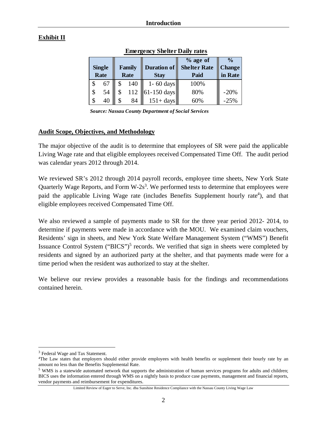# **Exhibit II**

|               |           |                    | $%$ age of          | $\frac{0}{0}$ |
|---------------|-----------|--------------------|---------------------|---------------|
| <b>Single</b> | Family    | <b>Duration of</b> | <b>Shelter Rate</b> | <b>Change</b> |
| Rate          | Rate      | <b>Stay</b>        | Paid                | in Rate       |
| \$<br>67      | 140       | $1 - 60$ days      | 100%                |               |
| \$<br>54      | \$<br>112 | $61-150$ days      | 80%                 | $-20%$        |
| \$<br>40      | 84        | $151 + days$       | 60%                 | $-25%$        |

 **Emergency Shelter Daily rates**

*Source: Nassau County Department of Social Services* 

#### **Audit Scope, Objectives, and Methodology**

The major objective of the audit is to determine that employees of SR were paid the applicable Living Wage rate and that eligible employees received Compensated Time Off. The audit period was calendar years 2012 through 2014.

We reviewed SR's 2012 through 2014 payroll records, employee time sheets, New York State Quarterly Wage Reports, and Form  $W-2s^3$ . We performed tests to determine that employees were paid the applicable Living Wage rate (includes Benefits Supplement hourly rate<sup>4</sup>), and that eligible employees received Compensated Time Off.

We also reviewed a sample of payments made to SR for the three year period 2012- 2014, to determine if payments were made in accordance with the MOU. We examined claim vouchers, Residents' sign in sheets, and New York State Welfare Management System ("WMS") Benefit Issuance Control System ("BICS")<sup>5</sup> records. We verified that sign in sheets were completed by residents and signed by an authorized party at the shelter, and that payments made were for a time period when the resident was authorized to stay at the shelter.

We believe our review provides a reasonable basis for the findings and recommendations contained herein.

 $\overline{a}$ 

<sup>&</sup>lt;sup>3</sup> Federal Wage and Tax Statement.<br><sup>4</sup>The Law states that employers should either provide employees with health benefits or supplement their hourly rate by an amount no less than the Benefits Supplemental Rate.

<sup>&</sup>lt;sup>5</sup> WMS is a statewide automated network that supports the administration of human services programs for adults and children; BICS uses the information entered through WMS on a nightly basis to produce case payments, management and financial reports, vendor payments and reimbursement for expenditures.

Limited Review of Eager to Serve, Inc. dba Sunshine Residence Compliance with the Nassau County Living Wage Law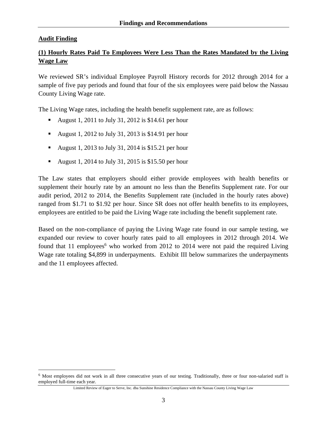#### **Audit Finding**

 $\overline{a}$ 

# **(1) Hourly Rates Paid To Employees Were Less Than the Rates Mandated by the Living Wage Law**

We reviewed SR's individual Employee Payroll History records for 2012 through 2014 for a sample of five pay periods and found that four of the six employees were paid below the Nassau County Living Wage rate.

The Living Wage rates, including the health benefit supplement rate, are as follows:

- August 1, 2011 to July 31, 2012 is \$14.61 per hour
- August 1, 2012 to July 31, 2013 is \$14.91 per hour
- August 1, 2013 to July 31, 2014 is \$15.21 per hour
- August 1, 2014 to July 31, 2015 is \$15.50 per hour

The Law states that employers should either provide employees with health benefits or supplement their hourly rate by an amount no less than the Benefits Supplement rate. For our audit period, 2012 to 2014, the Benefits Supplement rate (included in the hourly rates above) ranged from \$1.71 to \$1.92 per hour. Since SR does not offer health benefits to its employees, employees are entitled to be paid the Living Wage rate including the benefit supplement rate.

Based on the non-compliance of paying the Living Wage rate found in our sample testing, we expanded our review to cover hourly rates paid to all employees in 2012 through 2014. We found that 11 employees<sup>6</sup> who worked from 2012 to 2014 were not paid the required Living Wage rate totaling \$4,899 in underpayments. Exhibit III below summarizes the underpayments and the 11 employees affected.

<sup>6</sup> Most employees did not work in all three consecutive years of our testing. Traditionally, three or four non-salaried staff is employed full-time each year.

Limited Review of Eager to Serve, Inc. dba Sunshine Residence Compliance with the Nassau County Living Wage Law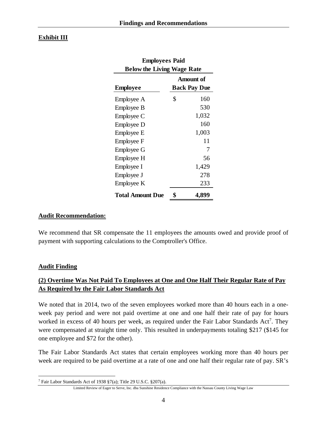## **Exhibit III**

| <b>Employees Paid</b>             |                     |
|-----------------------------------|---------------------|
| <b>Below the Living Wage Rate</b> |                     |
|                                   | <b>Amount of</b>    |
| <b>Employee</b>                   | <b>Back Pay Due</b> |
| Employee A                        | \$<br>160           |
| Employee B                        | 530                 |
| Employee C                        | 1,032               |
| Employee D                        | 160                 |
| Employee E                        | 1,003               |
| Employee F                        | 11                  |
| <b>Employee G</b>                 | 7                   |
| Employee H                        | 56                  |
| Employee I                        | 1,429               |
| Employee J                        | 278                 |
| Employee K                        | 233                 |
| <b>Total Amount Due</b>           | \$<br>4,899         |

#### **Audit Recommendation:**

We recommend that SR compensate the 11 employees the amounts owed and provide proof of payment with supporting calculations to the Comptroller's Office.

#### **Audit Finding**

# **(2) Overtime Was Not Paid To Employees at One and One Half Their Regular Rate of Pay As Required by the Fair Labor Standards Act**

We noted that in 2014, two of the seven employees worked more than 40 hours each in a oneweek pay period and were not paid overtime at one and one half their rate of pay for hours worked in excess of 40 hours per week, as required under the Fair Labor Standards Act<sup>7</sup>. They were compensated at straight time only. This resulted in underpayments totaling \$217 (\$145 for one employee and \$72 for the other).

The Fair Labor Standards Act states that certain employees working more than 40 hours per week are required to be paid overtime at a rate of one and one half their regular rate of pay. SR's

<sup>1</sup> 7 Fair Labor Standards Act of 1938 §7(a); Title 29 U.S.C. §207(a).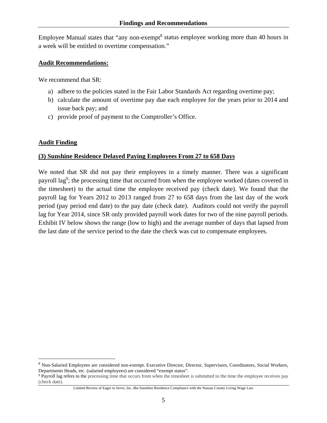Employee Manual states that "any non-exempt<sup>8</sup> status employee working more than 40 hours in a week will be entitled to overtime compensation."

#### **Audit Recommendations:**

We recommend that SR:

- a) adhere to the policies stated in the Fair Labor Standards Act regarding overtime pay;
- b) calculate the amount of overtime pay due each employee for the years prior to 2014 and issue back pay; and
- c) provide proof of payment to the Comptroller's Office.

#### **Audit Finding**

 $\overline{a}$ 

#### **(3) Sunshine Residence Delayed Paying Employees From 27 to 658 Days**

We noted that SR did not pay their employees in a timely manner. There was a significant payroll lag<sup>9</sup>; the processing time that occurred from when the employee worked (dates covered in the timesheet) to the actual time the employee received pay (check date). We found that the payroll lag for Years 2012 to 2013 ranged from 27 to 658 days from the last day of the work period (pay period end date) to the pay date (check date). Auditors could not verify the payroll lag for Year 2014, since SR only provided payroll work dates for two of the nine payroll periods. Exhibit IV below shows the range (low to high) and the average number of days that lapsed from the last date of the service period to the date the check was cut to compensate employees.

<sup>8</sup> Non-Salaried Employees are considered non-exempt. Executive Director, Director, Supervisors, Coordinators, Social Workers, Departments Heads, etc. (salaried employees) are considered "exempt status".

<sup>9</sup> Payroll lag refers to the processing time that occurs from when the timesheet is submitted to the time the employee receives pay (check date).

Limited Review of Eager to Serve, Inc. dba Sunshine Residence Compliance with the Nassau County Living Wage Law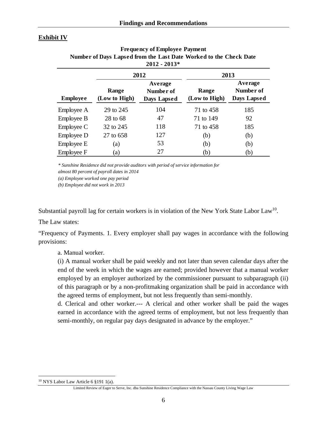#### **Exhibit IV**

|                 |                        | $2012 - 2013*$                             |                        |                                     |
|-----------------|------------------------|--------------------------------------------|------------------------|-------------------------------------|
|                 |                        | 2012                                       |                        | 2013                                |
| <b>Employee</b> | Range<br>(Low to High) | Average<br>Number of<br><b>Days Lapsed</b> | Range<br>(Low to High) | Average<br>Number of<br>Days Lapsed |
| Employee A      | 29 to 245              | 104                                        | 71 to 458              | 185                                 |
| Employee B      | 28 to 68               | 47                                         | 71 to 149              | 92                                  |
| Employee C      | 32 to 245              | 118                                        | 71 to 458              | 185                                 |
| Employee D      | 27 to 658              | 127                                        | (b)                    | (b)                                 |
| Employee E      | (a)                    | 53                                         | (b)                    | (b)                                 |
| Employee F      | (a)                    | 27                                         | (b)                    | (b)                                 |

| <b>Frequency of Employee Payment</b>                              |
|-------------------------------------------------------------------|
| Number of Days Lapsed from the Last Date Worked to the Check Date |
| $2012 - 2013*$                                                    |

*\* Sunshine Residence did not provide auditors with period of service information for* 

*almost 80 percent of payroll dates in 2014* 

*(a) Employee worked one pay period*

*(b) Employee did not work in 2013*

Substantial payroll lag for certain workers is in violation of the New York State Labor Law<sup>10</sup>.

The Law states:

"Frequency of Payments. 1. Every employer shall pay wages in accordance with the following provisions:

a. Manual worker.

(i) A manual worker shall be paid weekly and not later than seven calendar days after the end of the week in which the wages are earned; provided however that a manual worker employed by an employer authorized by the commissioner pursuant to subparagraph (ii) of this paragraph or by a non-profitmaking organization shall be paid in accordance with the agreed terms of employment, but not less frequently than semi-monthly.

d. Clerical and other worker.--- A clerical and other worker shall be paid the wages earned in accordance with the agreed terms of employment, but not less frequently than semi-monthly, on regular pay days designated in advance by the employer."

 $\overline{a}$ 

<sup>10</sup> NYS Labor Law Article 6 §191 1(a).

Limited Review of Eager to Serve, Inc. dba Sunshine Residence Compliance with the Nassau County Living Wage Law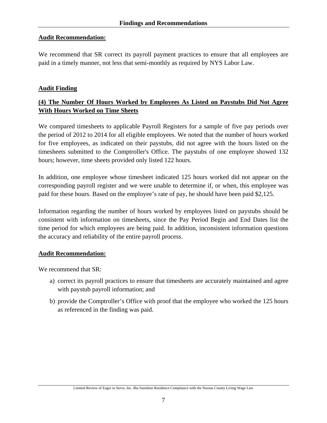#### **Audit Recommendation:**

We recommend that SR correct its payroll payment practices to ensure that all employees are paid in a timely manner, not less that semi-monthly as required by NYS Labor Law.

#### **Audit Finding**

# **(4) The Number Of Hours Worked by Employees As Listed on Paystubs Did Not Agree With Hours Worked on Time Sheets**

We compared timesheets to applicable Payroll Registers for a sample of five pay periods over the period of 2012 to 2014 for all eligible employees. We noted that the number of hours worked for five employees, as indicated on their paystubs, did not agree with the hours listed on the timesheets submitted to the Comptroller's Office. The paystubs of one employee showed 132 hours; however, time sheets provided only listed 122 hours.

In addition, one employee whose timesheet indicated 125 hours worked did not appear on the corresponding payroll register and we were unable to determine if, or when, this employee was paid for these hours. Based on the employee's rate of pay, he should have been paid \$2,125.

Information regarding the number of hours worked by employees listed on paystubs should be consistent with information on timesheets, since the Pay Period Begin and End Dates list the time period for which employees are being paid. In addition, inconsistent information questions the accuracy and reliability of the entire payroll process.

#### **Audit Recommendation:**

We recommend that SR:

- a) correct its payroll practices to ensure that timesheets are accurately maintained and agree with paystub payroll information; and
- b) provide the Comptroller's Office with proof that the employee who worked the 125 hours as referenced in the finding was paid.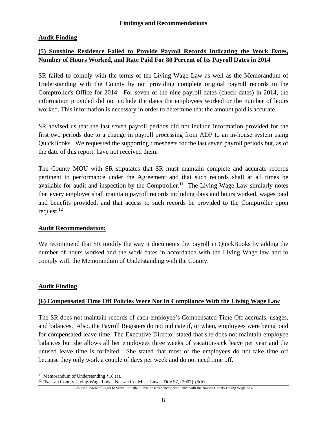# **Audit Finding**

# **(5) Sunshine Residence Failed to Provide Payroll Records Indicating the Work Dates, Number of Hours Worked, and Rate Paid For 80 Percent of Its Payroll Dates in 2014**

SR failed to comply with the terms of the Living Wage Law as well as the Memorandum of Understanding with the County by not providing complete original payroll records to the Comptroller's Office for 2014. For seven of the nine payroll dates (check dates) in 2014, the information provided did not include the dates the employees worked or the number of hours worked. This information is necessary in order to determine that the amount paid is accurate.

SR advised us that the last seven payroll periods did not include information provided for the first two periods due to a change in payroll processing from ADP to an in-house system using QuickBooks. We requested the supporting timesheets for the last seven payroll periods but, as of the date of this report, have not received them.

The County MOU with SR stipulates that SR must maintain complete and accurate records pertinent to performance under the Agreement and that such records shall at all times be available for audit and inspection by the Comptroller.<sup>11</sup> The Living Wage Law similarly notes that every employer shall maintain payroll records including days and hours worked, wages paid and benefits provided, and that access to such records be provided to the Comptroller upon request. $^{12}$ 

#### **Audit Recommendation:**

We recommend that SR modify the way it documents the payroll in QuickBooks by adding the number of hours worked and the work dates in accordance with the Living Wage law and to comply with the Memorandum of Understanding with the County.

# **Audit Finding**

 $\overline{a}$ 

# **(6) Compensated Time Off Policies Were Not In Compliance With the Living Wage Law**

The SR does not maintain records of each employee's Compensated Time Off accruals, usages, and balances. Also, the Payroll Registers do not indicate if, or when, employees were being paid for compensated leave time. The Executive Director stated that she does not maintain employee balances but she allows all her employees three weeks of vacation/sick leave per year and the unused leave time is forfeited. She stated that most of the employees do not take time off because they only work a couple of days per week and do not need time off.

<sup>&</sup>lt;sup>11</sup> Memorandum of Understanding §18 (a).<br><sup>12</sup> "Nassau County Living Wage Law", Nassau Co. Misc. Laws, Title 57, (2007) §5(b).

Limited Review of Eager to Serve, Inc. dba Sunshine Residence Compliance with the Nassau County Living Wage Law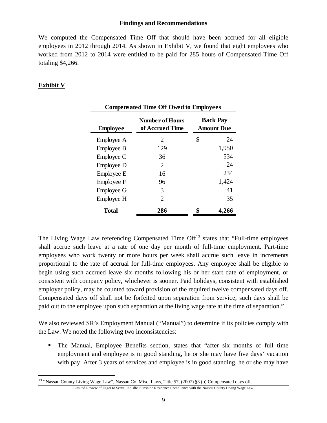We computed the Compensated Time Off that should have been accrued for all eligible employees in 2012 through 2014. As shown in Exhibit V, we found that eight employees who worked from 2012 to 2014 were entitled to be paid for 285 hours of Compensated Time Off totaling \$4,266.

# **Exhibit V**

 $\overline{a}$ 

|                 | <b>Compensated Time Off Owed to Employees</b> |                                      |
|-----------------|-----------------------------------------------|--------------------------------------|
| <b>Employee</b> | <b>Number of Hours</b><br>of Accrued Time     | <b>Back Pay</b><br><b>Amount Due</b> |
| Employee A      | 2                                             | \$<br>24                             |
| Employee B      | 129                                           | 1,950                                |
| Employee C      | 36                                            | 534                                  |
| Employee D      | 2                                             | 24                                   |
| Employee E      | 16                                            | 234                                  |
| Employee F      | 96                                            | 1,424                                |
| Employee G      | 3                                             | 41                                   |
| Employee H      | $\overline{2}$                                | 35                                   |
| Total           | 286                                           | 4.266                                |

The Living Wage Law referencing Compensated Time Off<sup>13</sup> states that "Full-time employees" shall accrue such leave at a rate of one day per month of full-time employment. Part-time employees who work twenty or more hours per week shall accrue such leave in increments proportional to the rate of accrual for full-time employees. Any employee shall be eligible to begin using such accrued leave six months following his or her start date of employment, or consistent with company policy, whichever is sooner. Paid holidays, consistent with established employer policy, may be counted toward provision of the required twelve compensated days off. Compensated days off shall not be forfeited upon separation from service; such days shall be paid out to the employee upon such separation at the living wage rate at the time of separation."

We also reviewed SR's Employment Manual ("Manual") to determine if its policies comply with the Law. We noted the following two inconsistencies:

 The Manual, Employee Benefits section, states that "after six months of full time employment and employee is in good standing, he or she may have five days' vacation with pay. After 3 years of services and employee is in good standing, he or she may have

<sup>&</sup>lt;sup>13</sup> "Nassau County Living Wage Law", Nassau Co. Misc. Laws, Title 57, (2007) §3 (b) Compensated days off.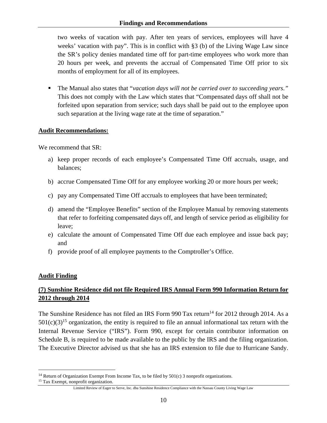two weeks of vacation with pay. After ten years of services, employees will have 4 weeks' vacation with pay". This is in conflict with §3 (b) of the Living Wage Law since the SR's policy denies mandated time off for part-time employees who work more than 20 hours per week, and prevents the accrual of Compensated Time Off prior to six months of employment for all of its employees.

 The Manual also states that "*vacation days will not be carried over to succeeding years*.*"* This does not comply with the Law which states that "Compensated days off shall not be forfeited upon separation from service; such days shall be paid out to the employee upon such separation at the living wage rate at the time of separation."

#### **Audit Recommendations:**

We recommend that SR:

- a) keep proper records of each employee's Compensated Time Off accruals, usage, and balances;
- b) accrue Compensated Time Off for any employee working 20 or more hours per week;
- c) pay any Compensated Time Off accruals to employees that have been terminated;
- d) amend the "Employee Benefits" section of the Employee Manual by removing statements that refer to forfeiting compensated days off, and length of service period as eligibility for leave;
- e) calculate the amount of Compensated Time Off due each employee and issue back pay; and
- f) provide proof of all employee payments to the Comptroller's Office.

# **Audit Finding**

 $\overline{a}$ 

# **(7) Sunshine Residence did not file Required IRS Annual Form 990 Information Return for 2012 through 2014**

The Sunshine Residence has not filed an IRS Form  $990$  Tax return<sup>14</sup> for 2012 through 2014. As a  $501(c)(3)^{15}$  organization, the entity is required to file an annual informational tax return with the Internal Revenue Service ("IRS"). Form 990, except for certain contributor information on Schedule B, is required to be made available to the public by the IRS and the filing organization. The Executive Director advised us that she has an IRS extension to file due to Hurricane Sandy.

<sup>&</sup>lt;sup>14</sup> Return of Organization Exempt From Income Tax, to be filed by  $501(c)$  3 nonprofit organizations. <sup>15</sup> Tax Exempt, nonprofit organization.

Limited Review of Eager to Serve, Inc. dba Sunshine Residence Compliance with the Nassau County Living Wage Law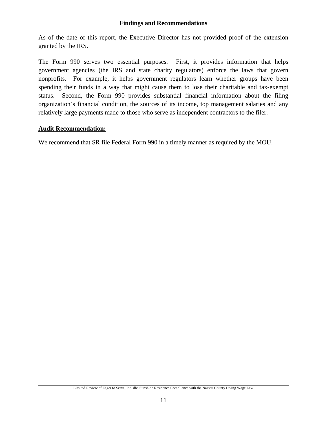As of the date of this report, the Executive Director has not provided proof of the extension granted by the IRS.

The Form 990 serves two essential purposes. First, it provides information that helps government agencies (the IRS and state charity regulators) enforce the laws that govern nonprofits. For example, it helps government regulators learn whether groups have been spending their funds in a way that might cause them to lose their charitable and tax-exempt status. Second, the Form 990 provides substantial financial information about the filing organization's financial condition, the sources of its income, top management salaries and any relatively large payments made to those who serve as independent contractors to the filer.

#### **Audit Recommendation:**

We recommend that SR file Federal Form 990 in a timely manner as required by the MOU.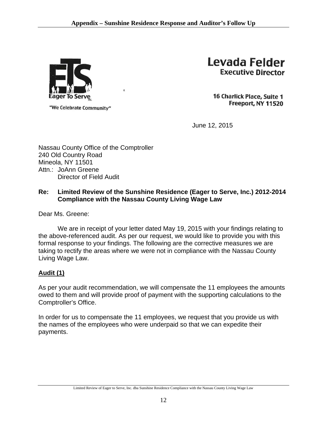

"We Celebrate Community"

Levada Felder **Executive Director** 

16 Charlick Place, Suite 1 Freeport, NY 11520

June 12, 2015

Nassau County Office of the Comptroller 240 Old Country Road Mineola, NY 11501 Attn.: JoAnn Greene Director of Field Audit

# **Re: Limited Review of the Sunshine Residence (Eager to Serve, Inc.) 2012-2014 Compliance with the Nassau County Living Wage Law**

Dear Ms. Greene:

 We are in receipt of your letter dated May 19, 2015 with your findings relating to the above-referenced audit. As per our request, we would like to provide you with this formal response to your findings. The following are the corrective measures we are taking to rectify the areas where we were not in compliance with the Nassau County Living Wage Law.

# **Audit (1)**

As per your audit recommendation, we will compensate the 11 employees the amounts owed to them and will provide proof of payment with the supporting calculations to the Comptroller's Office.

In order for us to compensate the 11 employees, we request that you provide us with the names of the employees who were underpaid so that we can expedite their payments.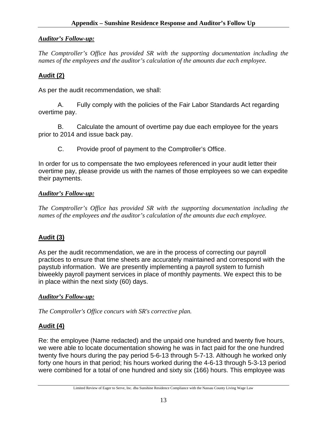# *Auditor's Follow-up:*

*The Comptroller's Office has provided SR with the supporting documentation including the names of the employees and the auditor's calculation of the amounts due each employee.* 

# **Audit (2)**

As per the audit recommendation, we shall:

A. Fully comply with the policies of the Fair Labor Standards Act regarding overtime pay.

B. Calculate the amount of overtime pay due each employee for the years prior to 2014 and issue back pay.

C. Provide proof of payment to the Comptroller's Office.

In order for us to compensate the two employees referenced in your audit letter their overtime pay, please provide us with the names of those employees so we can expedite their payments.

#### *Auditor's Follow-up:*

*The Comptroller's Office has provided SR with the supporting documentation including the names of the employees and the auditor's calculation of the amounts due each employee.* 

# **Audit (3)**

As per the audit recommendation, we are in the process of correcting our payroll practices to ensure that time sheets are accurately maintained and correspond with the paystub information. We are presently implementing a payroll system to furnish biweekly payroll payment services in place of monthly payments. We expect this to be in place within the next sixty (60) days.

#### *Auditor's Follow-up:*

*The Comptroller's Office concurs with SR's corrective plan.*

# **Audit (4)**

Re: the employee (Name redacted) and the unpaid one hundred and twenty five hours, we were able to locate documentation showing he was in fact paid for the one hundred twenty five hours during the pay period 5-6-13 through 5-7-13. Although he worked only forty one hours in that period; his hours worked during the 4-6-13 through 5-3-13 period were combined for a total of one hundred and sixty six (166) hours. This employee was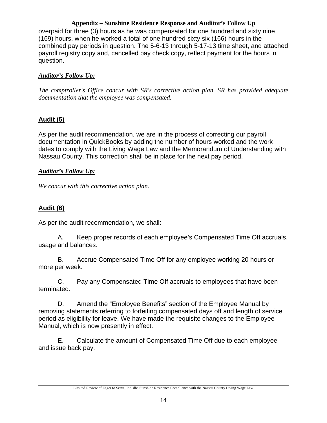#### **Appendix – Sunshine Residence Response and Auditor's Follow Up**

overpaid for three (3) hours as he was compensated for one hundred and sixty nine (169) hours, when he worked a total of one hundred sixty six (166) hours in the combined pay periods in question. The 5-6-13 through 5-17-13 time sheet, and attached payroll registry copy and, cancelled pay check copy, reflect payment for the hours in question.

# *Auditor's Follow Up:*

*The comptroller's Office concur with SR's corrective action plan. SR has provided adequate documentation that the employee was compensated.*

# **Audit (5)**

As per the audit recommendation, we are in the process of correcting our payroll documentation in QuickBooks by adding the number of hours worked and the work dates to comply with the Living Wage Law and the Memorandum of Understanding with Nassau County. This correction shall be in place for the next pay period.

# *Auditor's Follow Up:*

*We concur with this corrective action plan.* 

# **Audit (6)**

As per the audit recommendation, we shall:

 A. Keep proper records of each employee's Compensated Time Off accruals, usage and balances.

 B. Accrue Compensated Time Off for any employee working 20 hours or more per week.

 C. Pay any Compensated Time Off accruals to employees that have been terminated.

 D. Amend the "Employee Benefits" section of the Employee Manual by removing statements referring to forfeiting compensated days off and length of service period as eligibility for leave. We have made the requisite changes to the Employee Manual, which is now presently in effect.

 E. Calculate the amount of Compensated Time Off due to each employee and issue back pay.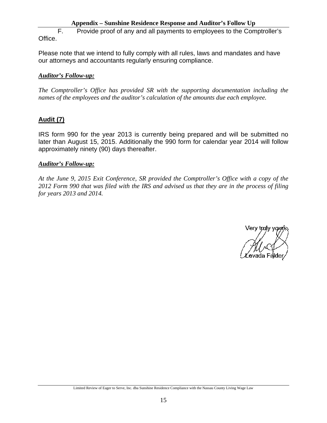F. Provide proof of any and all payments to employees to the Comptroller's Office.

Please note that we intend to fully comply with all rules, laws and mandates and have our attorneys and accountants regularly ensuring compliance.

## *Auditor's Follow-up:*

*The Comptroller's Office has provided SR with the supporting documentation including the names of the employees and the auditor's calculation of the amounts due each employee.*

# **Audit (7)**

IRS form 990 for the year 2013 is currently being prepared and will be submitted no later than August 15, 2015. Additionally the 990 form for calendar year 2014 will follow approximately ninety (90) days thereafter.

#### *Auditor's Follow-up:*

*At the June 9, 2015 Exit Conference, SR provided the Comptroller's Office with a copy of the 2012 Form 990 that was filed with the IRS and advised us that they are in the process of filing for years 2013 and 2014.*

Very traly your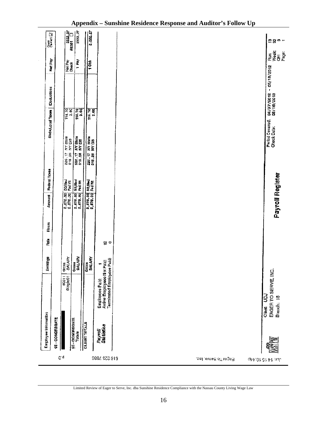|                                    | Emproyee Information             |                                                                             | Earthge                  | 흁                         | Hours | Amount                              | Fodsral Taxos |                                  | State/Local Taxes   Deductions |                                       |                  |                    | Cheer [2]               |
|------------------------------------|----------------------------------|-----------------------------------------------------------------------------|--------------------------|---------------------------|-------|-------------------------------------|---------------|----------------------------------|--------------------------------|---------------------------------------|------------------|--------------------|-------------------------|
|                                    | 95 - CONOREGATE                  |                                                                             |                          |                           |       |                                     |               |                                  |                                |                                       | Nat Pay          |                    |                         |
| $\mathfrak{e}^{\cdot\,\mathsf{d}}$ |                                  | #0011<br>Single(01                                                          | <b>SALARY</b><br>Grass   |                           |       | 2.878.00 SS/Med<br>2.878.00 Fad Vit |               | 220.17 NY State<br>318.25 NY DIS |                                | 114.70                                | Net Pay<br>Check |                    | $\frac{222.77}{13351}$  |
|                                    | <b>95 - CONGREGATE</b><br>Totals |                                                                             | <b>BALARY</b><br>Grove   |                           |       | 2,878.00 SS/Red<br>2,878.00 Fad VM  |               | 220.17                           | <b>AV State</b><br>KV DIS      | 114.70                                | i bak            |                    | 2222.27                 |
|                                    | <b>CLIENT TOTALS</b>             |                                                                             | Gross<br>SALARY          |                           |       | 2,878.00 88/Hed<br>2,878.00 Fed Vit |               | 220.17 NY State<br>318.26 NY DIS |                                | T14.70                                | Ĕ                |                    | $\frac{222.27}{222.27}$ |
| 516 223 7886                       | Payroll<br>Statistics            | Active Employees Not Paid:<br>Terminated Employees Paid:<br>Employees Paid: | $\overline{\phantom{0}}$ | $\mathbf{Q}$ $\mathbf{Q}$ |       |                                     |               |                                  |                                |                                       |                  |                    |                         |
| Eager To Serve, Inc.               |                                  |                                                                             |                          |                           |       |                                     |               |                                  |                                |                                       |                  |                    |                         |
| գիֆ:ՕՐ ՇՐ ՔՐ ոսև                   |                                  | EAGER TO SERVE, INC<br>Client: UDJ<br>Branch: 15                            |                          |                           |       | <b>Payroll Register</b>             |               |                                  | Pariod Covared:<br>Check Date: | 04/07/2012 - 05/18/2012<br>08/16/2013 |                  | an<br>a≸an<br>a≯an | <u> ဗ</u> ဗ္ဂ ဗ –       |

# **Appendix – Sunshine Residence Response and Auditor's Follow Up**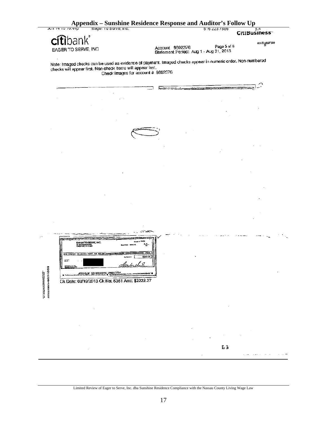|                             | Appendix – Sunshine Residence Response and Auditor's Follow Up<br>JUJI 14 10 10.44p                                                                                        |                                                   |                 |                                                                                                                       | p,4                 |  |
|-----------------------------|----------------------------------------------------------------------------------------------------------------------------------------------------------------------------|---------------------------------------------------|-----------------|-----------------------------------------------------------------------------------------------------------------------|---------------------|--|
|                             | cítibank <sup>®</sup>                                                                                                                                                      |                                                   |                 |                                                                                                                       | CitiBusiness~       |  |
|                             | EAGER TO SERVE, INC.                                                                                                                                                       |                                                   | Account 9602376 | Page 5 of 6<br>Statement Period: Aug 1 - Aug 31, 2013                                                                 | <b>001F1/20F009</b> |  |
|                             | Note: Imaged checks can be used as evidence of payment. Imaged checks appear in numeric order. Non-numbered<br>checks will appear first. Non-check items will appear last. | Check images for account # 9802376                |                 |                                                                                                                       |                     |  |
|                             |                                                                                                                                                                            |                                                   |                 | <u> Estados de Estados especiales do actual de la propia de la propia de la propia de la propia de la propia de l</u> |                     |  |
|                             |                                                                                                                                                                            |                                                   |                 |                                                                                                                       |                     |  |
|                             |                                                                                                                                                                            |                                                   |                 |                                                                                                                       |                     |  |
|                             |                                                                                                                                                                            |                                                   |                 |                                                                                                                       |                     |  |
|                             |                                                                                                                                                                            |                                                   |                 |                                                                                                                       |                     |  |
|                             |                                                                                                                                                                            |                                                   |                 |                                                                                                                       |                     |  |
|                             |                                                                                                                                                                            |                                                   |                 |                                                                                                                       |                     |  |
|                             |                                                                                                                                                                            |                                                   |                 |                                                                                                                       |                     |  |
|                             |                                                                                                                                                                            |                                                   |                 |                                                                                                                       |                     |  |
|                             |                                                                                                                                                                            |                                                   |                 |                                                                                                                       |                     |  |
|                             |                                                                                                                                                                            |                                                   |                 |                                                                                                                       |                     |  |
|                             |                                                                                                                                                                            |                                                   |                 |                                                                                                                       |                     |  |
|                             |                                                                                                                                                                            |                                                   |                 |                                                                                                                       |                     |  |
|                             |                                                                                                                                                                            |                                                   |                 |                                                                                                                       |                     |  |
|                             |                                                                                                                                                                            |                                                   |                 |                                                                                                                       |                     |  |
|                             | <u>the community of the community of the community of the co</u><br>BAREN TO SERVE, INC.<br>INDUSTRIAL<br>PREPORT MY VED                                                   | - مەنزى                                           |                 |                                                                                                                       |                     |  |
|                             | eras and<br><b>ADISSINAL SUA ADIDADE DE CHAO 2376-</b><br>$\blacksquare$                                                                                                   | an sama<br>sum. 72<br>ang manang pagpagpanggunaan |                 |                                                                                                                       |                     |  |
| <b>MARRIA-MARA-MARRIAGO</b> | Ck Date: 08/19/2013 Ck No: 5361 Ami: \$2222.27                                                                                                                             |                                                   |                 |                                                                                                                       |                     |  |
|                             |                                                                                                                                                                            |                                                   |                 |                                                                                                                       |                     |  |
|                             |                                                                                                                                                                            |                                                   |                 |                                                                                                                       |                     |  |
|                             |                                                                                                                                                                            |                                                   |                 |                                                                                                                       |                     |  |
|                             |                                                                                                                                                                            |                                                   |                 |                                                                                                                       |                     |  |
|                             |                                                                                                                                                                            |                                                   |                 |                                                                                                                       |                     |  |
|                             |                                                                                                                                                                            |                                                   |                 | E 3                                                                                                                   |                     |  |

 $\sim$